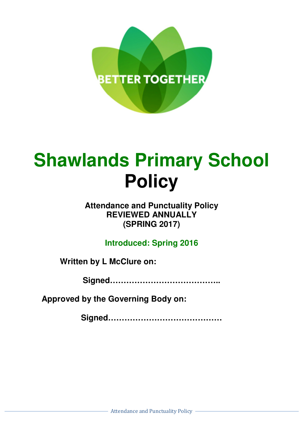

# **Shawlands Primary School Policy**

# **Attendance and Punctuality Policy REVIEWED ANNUALLY (SPRING 2017)**

**Introduced: Spring 2016** 

**Written by L McClure on:** 

**Signed…………………………………..** 

**Approved by the Governing Body on:** 

**Signed……………………………………**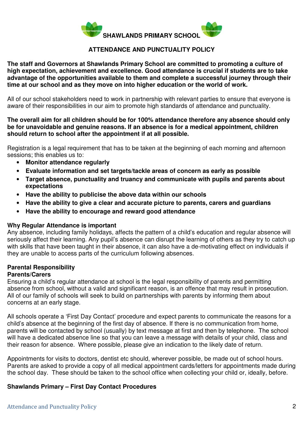

# **ATTENDANCE AND PUNCTUALITY POLICY**

**The staff and Governors at Shawlands Primary School are committed to promoting a culture of high expectation, achievement and excellence. Good attendance is crucial if students are to take advantage of the opportunities available to them and complete a successful journey through their time at our school and as they move on into higher education or the world of work.** 

All of our school stakeholders need to work in partnership with relevant parties to ensure that everyone is aware of their responsibilities in our aim to promote high standards of attendance and punctuality.

# **The overall aim for all children should be for 100% attendance therefore any absence should only be for unavoidable and genuine reasons. If an absence is for a medical appointment, children should return to school after the appointment if at all possible.**

Registration is a legal requirement that has to be taken at the beginning of each morning and afternoon sessions; this enables us to:

- **Monitor attendance regularly**
- **Evaluate information and set targets/tackle areas of concern as early as possible**
- **Target absence, punctuality and truancy and communicate with pupils and parents about expectations**
- **Have the ability to publicise the above data within our schools**
- **Have the ability to give a clear and accurate picture to parents, carers and guardians**
- **Have the ability to encourage and reward good attendance**

#### **Why Regular Attendance is important**

Any absence, including family holidays, affects the pattern of a child's education and regular absence will seriously affect their learning. Any pupil's absence can disrupt the learning of others as they try to catch up with skills that have been taught in their absence, it can also have a de-motivating effect on individuals if they are unable to access parts of the curriculum following absences.

# **Parental Responsibility**

## **Parents/Carers**

Ensuring a child's regular attendance at school is the legal responsibility of parents and permitting absence from school, without a valid and significant reason, is an offence that may result in prosecution. All of our family of schools will seek to build on partnerships with parents by informing them about concerns at an early stage.

All schools operate a 'First Day Contact' procedure and expect parents to communicate the reasons for a child's absence at the beginning of the first day of absence. If there is no communication from home, parents will be contacted by school (usually) by text message at first and then by telephone. The school will have a dedicated absence line so that you can leave a message with details of your child, class and their reason for absence. Where possible, please give an indication to the likely date of return.

Appointments for visits to doctors, dentist etc should, wherever possible, be made out of school hours. Parents are asked to provide a copy of all medical appointment cards/letters for appointments made during the school day. These should be taken to the school office when collecting your child or, ideally, before.

# **Shawlands Primary – First Day Contact Procedures**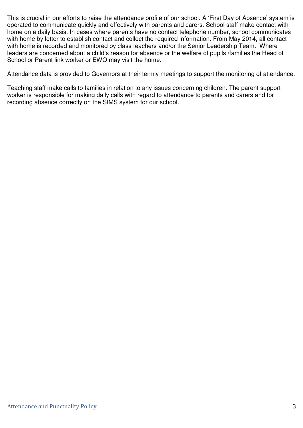This is crucial in our efforts to raise the attendance profile of our school. A 'First Day of Absence' system is operated to communicate quickly and effectively with parents and carers. School staff make contact with home on a daily basis. In cases where parents have no contact telephone number, school communicates with home by letter to establish contact and collect the required information. From May 2014, all contact with home is recorded and monitored by class teachers and/or the Senior Leadership Team. Where leaders are concerned about a child's reason for absence or the welfare of pupils /families the Head of School or Parent link worker or EWO may visit the home.

Attendance data is provided to Governors at their termly meetings to support the monitoring of attendance.

Teaching staff make calls to families in relation to any issues concerning children. The parent support worker is responsible for making daily calls with regard to attendance to parents and carers and for recording absence correctly on the SIMS system for our school.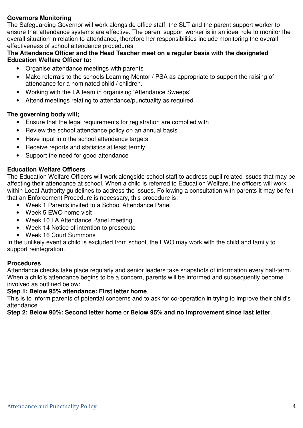# **Governors Monitoring**

The Safeguarding Governor will work alongside office staff, the SLT and the parent support worker to ensure that attendance systems are effective. The parent support worker is in an ideal role to monitor the overall situation in relation to attendance, therefore her responsibilities include monitoring the overall effectiveness of school attendance procedures.

# **The Attendance Officer and the Head Teacher meet on a regular basis with the designated Education Welfare Officer to:**

- Organise attendance meetings with parents
- Make referrals to the schools Learning Mentor / PSA as appropriate to support the raising of attendance for a nominated child / children.
- Working with the LA team in organising 'Attendance Sweeps'
- Attend meetings relating to attendance/punctuality as required

# **The governing body will;**

- Ensure that the legal requirements for registration are complied with
- Review the school attendance policy on an annual basis
- Have input into the school attendance targets
- Receive reports and statistics at least termly
- Support the need for good attendance

# **Education Welfare Officers**

The Education Welfare Officers will work alongside school staff to address pupil related issues that may be affecting their attendance at school. When a child is referred to Education Welfare, the officers will work within Local Authority guidelines to address the issues. Following a consultation with parents it may be felt that an Enforcement Procedure is necessary, this procedure is:

- Week 1 Parents invited to a School Attendance Panel
- Week 5 EWO home visit
- Week 10 LA Attendance Panel meeting
- Week 14 Notice of intention to prosecute
- Week 16 Court Summons

In the unlikely event a child is excluded from school, the EWO may work with the child and family to support reintegration.

#### **Procedures**

Attendance checks take place regularly and senior leaders take snapshots of information every half-term. When a child's attendance begins to be a concern, parents will be informed and subsequently become involved as outlined below:

#### **Step 1: Below 95% attendance: First letter home**

This is to inform parents of potential concerns and to ask for co-operation in trying to improve their child's attendance

**Step 2: Below 90%: Second letter home** or **Below 95% and no improvement since last letter**.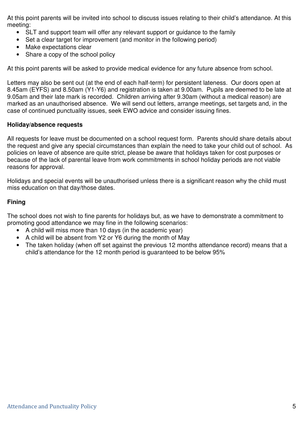At this point parents will be invited into school to discuss issues relating to their child's attendance. At this meeting:

- SLT and support team will offer any relevant support or quidance to the family
- Set a clear target for improvement (and monitor in the following period)
- Make expectations clear
- Share a copy of the school policy

At this point parents will be asked to provide medical evidence for any future absence from school.

Letters may also be sent out (at the end of each half-term) for persistent lateness. Our doors open at 8.45am (EYFS) and 8.50am (Y1-Y6) and registration is taken at 9.00am. Pupils are deemed to be late at 9.05am and their late mark is recorded. Children arriving after 9.30am (without a medical reason) are marked as an unauthorised absence. We will send out letters, arrange meetings, set targets and, in the case of continued punctuality issues, seek EWO advice and consider issuing fines.

# **Holiday/absence requests**

All requests for leave must be documented on a school request form. Parents should share details about the request and give any special circumstances than explain the need to take your child out of school. As policies on leave of absence are quite strict, please be aware that holidays taken for cost purposes or because of the lack of parental leave from work commitments in school holiday periods are not viable reasons for approval.

Holidays and special events will be unauthorised unless there is a significant reason why the child must miss education on that day/those dates.

# **Fining**

The school does not wish to fine parents for holidays but, as we have to demonstrate a commitment to promoting good attendance we may fine in the following scenarios:

- A child will miss more than 10 days (in the academic year)
- A child will be absent from Y2 or Y6 during the month of May
- The taken holiday (when off set against the previous 12 months attendance record) means that a child's attendance for the 12 month period is guaranteed to be below 95%